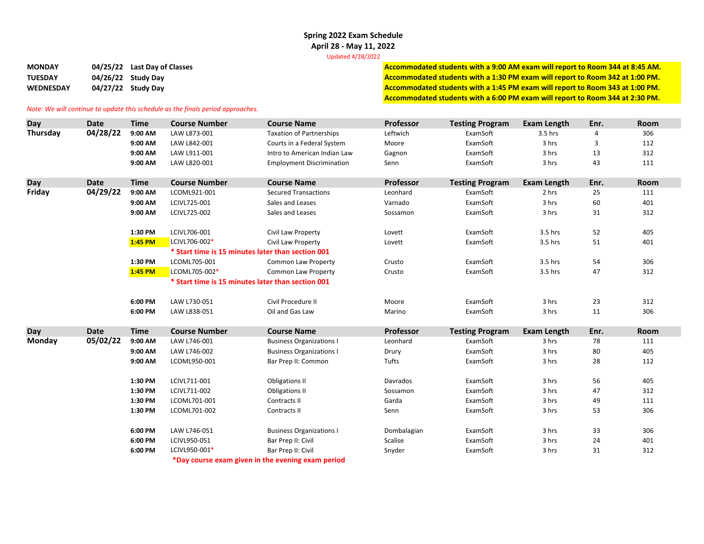## **Spring 2022 Exam Schedule April 28 ‐ May 11, 2022**

Updated 4/28/2022

MONDAY 04/25/22 Last Day of Classes MONDAY 04/25/22 Last Day of Classes and the Monday of Classes and the Monday of Classes and the Monday of the Monday of Classes and the Monday of Classes and the Monday of Classes and Mo TUESDAY 04/26/22 Study Day 08/26/22 Study Day MEDNESDAY 04/27/22 Study Day 08/100 PM. The Study of the Study Day of the Study Day of the Study Day of the Study Day of the Study Day of the Study Day of the Study Day of the Study Day of the Study Day of the Study Day of **Accommodated students with <sup>a</sup> 6:00 PM exam will report to Room 344 at 2:30 PM.**

## *Note: We will continue to update this schedule as the finals period approaches.*

| Day           | <b>Date</b> | <b>Time</b> | <b>Course Number</b>                              | <b>Course Name</b>               | Professor   | <b>Testing Program</b> | Exam Length        | Enr.           | Room |
|---------------|-------------|-------------|---------------------------------------------------|----------------------------------|-------------|------------------------|--------------------|----------------|------|
| Thursday      | 04/28/22    | 9:00 AM     | LAW L873-001                                      | <b>Taxation of Partnerships</b>  | Leftwich    | ExamSoft               | 3.5 hrs            | $\overline{4}$ | 306  |
|               |             | 9:00 AM     | LAW L842-001                                      | Courts in a Federal System       | Moore       | ExamSoft               | 3 hrs              | 3              | 112  |
|               |             | 9:00 AM     | LAW L911-001                                      | Intro to American Indian Law     | Gagnon      | ExamSoft               | 3 hrs              | 13             | 312  |
|               |             | 9:00 AM     | LAW L820-001                                      | <b>Employment Discrimination</b> | Senn        | ExamSoft               | 3 hrs              | 43             | 111  |
|               |             |             |                                                   |                                  |             |                        |                    |                |      |
| Day           | <b>Date</b> | <b>Time</b> | <b>Course Number</b>                              | <b>Course Name</b>               | Professor   | <b>Testing Program</b> | <b>Exam Length</b> | Enr.           | Room |
| Friday        | 04/29/22    | 9:00 AM     | LCOML921-001                                      | <b>Secured Transactions</b>      | Leonhard    | ExamSoft               | 2 hrs              | 25             | 111  |
|               |             | 9:00 AM     | LCIVL725-001                                      | Sales and Leases                 | Varnado     | ExamSoft               | 3 hrs              | 60             | 401  |
|               |             | 9:00 AM     | LCIVL725-002                                      | Sales and Leases                 | Sossamon    | ExamSoft               | 3 hrs              | 31             | 312  |
|               |             |             |                                                   |                                  |             |                        |                    |                |      |
|               |             | 1:30 PM     | LCIVL706-001<br>LCIVL706-002*                     | Civil Law Property               | Lovett      | ExamSoft<br>ExamSoft   | 3.5 hrs            | 52             | 405  |
|               |             | 1:45 PM     | * Start time is 15 minutes later than section 001 | Civil Law Property               | Lovett      |                        | 3.5 hrs            | 51             | 401  |
|               |             |             |                                                   |                                  |             |                        |                    |                |      |
|               |             | 1:30 PM     | LCOML705-001                                      | Common Law Property              | Crusto      | ExamSoft               | 3.5 hrs            | 54             | 306  |
|               |             | 1:45 PM     | LCOML705-002*                                     | Common Law Property              | Crusto      | ExamSoft               | 3.5 hrs            | 47             | 312  |
|               |             |             | * Start time is 15 minutes later than section 001 |                                  |             |                        |                    |                |      |
|               |             | 6:00 PM     | LAW L730-051                                      | Civil Procedure II               | Moore       | ExamSoft               | 3 hrs              | 23             | 312  |
|               |             | 6:00 PM     | LAW L838-051                                      | Oil and Gas Law                  | Marino      | ExamSoft               | 3 hrs              | 11             | 306  |
|               |             |             |                                                   |                                  |             |                        |                    |                |      |
| Day           | <b>Date</b> | <b>Time</b> | <b>Course Number</b>                              | <b>Course Name</b>               | Professor   | <b>Testing Program</b> | <b>Exam Length</b> | Enr.           | Room |
| <b>Monday</b> | 05/02/22    | 9:00 AM     | LAW L746-001                                      | <b>Business Organizations I</b>  | Leonhard    | ExamSoft               | 3 hrs              | 78             | 111  |
|               |             | 9:00 AM     | LAW L746-002                                      | <b>Business Organizations I</b>  | Drury       | ExamSoft               | 3 hrs              | 80             | 405  |
|               |             | 9:00 AM     | LCOML950-001                                      | Bar Prep II: Common              | Tufts       | ExamSoft               | 3 hrs              | 28             | 112  |
|               |             | 1:30 PM     | LCIVL711-001                                      | <b>Obligations II</b>            | Davrados    | ExamSoft               | 3 hrs              | 56             | 405  |
|               |             | 1:30 PM     | LCIVL711-002                                      | <b>Obligations II</b>            | Sossamon    | ExamSoft               | 3 hrs              | 47             | 312  |
|               |             | 1:30 PM     | LCOML701-001                                      | Contracts II                     | Garda       | ExamSoft               | 3 hrs              | 49             | 111  |
|               |             | 1:30 PM     | LCOML701-002                                      | Contracts II                     | Senn        | ExamSoft               | 3 hrs              | 53             | 306  |
|               |             |             |                                                   |                                  |             |                        |                    |                |      |
|               |             | 6:00 PM     | LAW L746-051                                      | <b>Business Organizations I</b>  | Dombalagian | ExamSoft               | 3 hrs              | 33             | 306  |
|               |             | 6:00 PM     | LCIVL950-051                                      | Bar Prep II: Civil               | Scalise     | ExamSoft               | 3 hrs              | 24             | 401  |
|               |             | 6:00 PM     | LCIVL950-001*                                     | Bar Prep II: Civil               | Snyder      | ExamSoft               | 3 hrs              | 31             | 312  |
|               |             |             | *Day course exam given in the evening exam period |                                  |             |                        |                    |                |      |